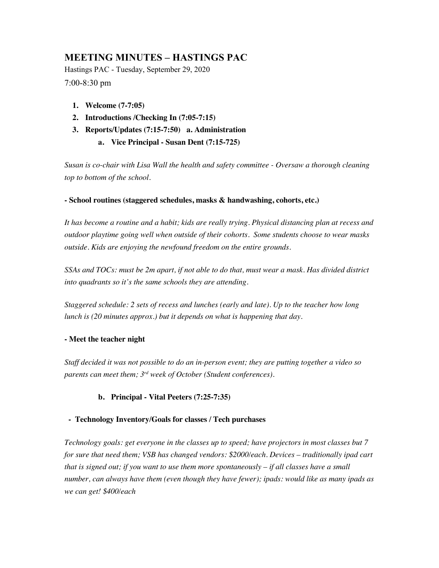# **MEETING MINUTES – HASTINGS PAC**

Hastings PAC - Tuesday, September 29, 2020 7:00-8:30 pm

- **1. Welcome (7-7:05)**
- **2. Introductions /Checking In (7:05-7:15)**
- **3. Reports/Updates (7:15-7:50) a. Administration** 
	- **a. Vice Principal - Susan Dent (7:15-725)**

*Susan is co-chair with Lisa Wall the health and safety committee - Oversaw a thorough cleaning top to bottom of the school.*

## **- School routines (staggered schedules, masks & handwashing, cohorts, etc.)**

*It has become a routine and a habit; kids are really trying. Physical distancing plan at recess and outdoor playtime going well when outside of their cohorts. Some students choose to wear masks outside. Kids are enjoying the newfound freedom on the entire grounds.*

*SSAs and TOCs: must be 2m apart, if not able to do that, must wear a mask. Has divided district into quadrants so it's the same schools they are attending.*

*Staggered schedule: 2 sets of recess and lunches (early and late). Up to the teacher how long lunch is (20 minutes approx.) but it depends on what is happening that day.*

# **- Meet the teacher night**

*Staff decided it was not possible to do an in-person event; they are putting together a video so parents can meet them; 3rd week of October (Student conferences).*

# **b. Principal - Vital Peeters (7:25-7:35)**

## **- Technology Inventory/Goals for classes / Tech purchases**

*Technology goals: get everyone in the classes up to speed; have projectors in most classes but 7 for sure that need them; VSB has changed vendors: \$2000/each. Devices – traditionally ipad cart that is signed out; if you want to use them more spontaneously – if all classes have a small number, can always have them (even though they have fewer); ipads: would like as many ipads as we can get! \$400/each*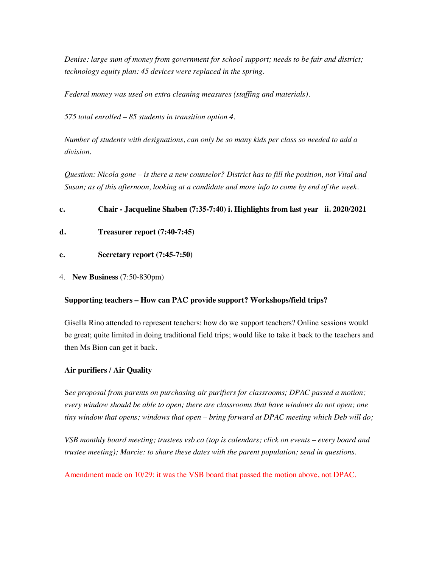*Denise: large sum of money from government for school support; needs to be fair and district; technology equity plan: 45 devices were replaced in the spring.*

*Federal money was used on extra cleaning measures (staffing and materials).*

*575 total enrolled – 85 students in transition option 4.*

*Number of students with designations, can only be so many kids per class so needed to add a division.*

*Question: Nicola gone – is there a new counselor? District has to fill the position, not Vital and Susan; as of this afternoon, looking at a candidate and more info to come by end of the week.*

**c. Chair - Jacqueline Shaben (7:35-7:40) i. Highlights from last year ii. 2020/2021** 

- **d. Treasurer report (7:40-7:45)**
- **e. Secretary report (7:45-7:50)**
- 4. **New Business** (7:50-830pm)

## **Supporting teachers – How can PAC provide support? Workshops/field trips?**

Gisella Rino attended to represent teachers: how do we support teachers? Online sessions would be great; quite limited in doing traditional field trips; would like to take it back to the teachers and then Ms Bion can get it back.

## **Air purifiers / Air Quality**

S*ee proposal from parents on purchasing air purifiers for classrooms; DPAC passed a motion; every window should be able to open; there are classrooms that have windows do not open; one tiny window that opens; windows that open – bring forward at DPAC meeting which Deb will do;* 

*VSB monthly board meeting; trustees vsb.ca (top is calendars; click on events – every board and trustee meeting); Marcie: to share these dates with the parent population; send in questions.*

Amendment made on 10/29: it was the VSB board that passed the motion above, not DPAC.